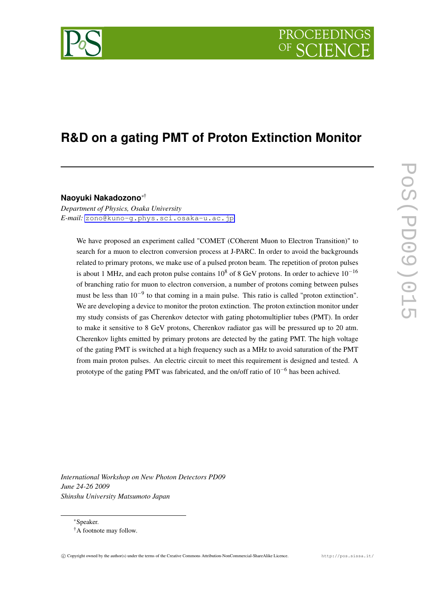# PROCEEDIN

# **R&D on a gating PMT of Proton Extinction Monitor**

#### **Naoyuki Nakadozono***∗*†

*Department of Physics, Osaka University E-mail:* [zono@kuno-g.phys.sci.osaka-u.ac.jp](mailto:zono@kuno-g.phys.sci.osaka-u.ac.jp)

We have proposed an experiment called "COMET (COherent Muon to Electron Transition)" to search for a muon to electron conversion process at J-PARC. In order to avoid the backgrounds related to primary protons, we make use of a pulsed proton beam. The repetition of proton pulses is about 1 MHz, and each proton pulse contains 10<sup>8</sup> of 8 GeV protons. In order to achieve 10*−*<sup>16</sup> of branching ratio for muon to electron conversion, a number of protons coming between pulses must be less than 10<sup>-9</sup> to that coming in a main pulse. This ratio is called "proton extinction". We are developing a device to monitor the proton extinction. The proton extinction monitor under my study consists of gas Cherenkov detector with gating photomultiplier tubes (PMT). In order to make it sensitive to 8 GeV protons, Cherenkov radiator gas will be pressured up to 20 atm. Cherenkov lights emitted by primary protons are detected by the gating PMT. The high voltage of the gating PMT is switched at a high frequency such as a MHz to avoid saturation of the PMT from main proton pulses. An electric circuit to meet this requirement is designed and tested. A prototype of the gating PMT was fabricated, and the on/off ratio of 10*−*<sup>6</sup> has been achived.

*International Workshop on New Photon Detectors PD09 June 24-26 2009 Shinshu University Matsumoto Japan*

*∗*Speaker.



<sup>&</sup>lt;sup>†</sup>A footnote may follow.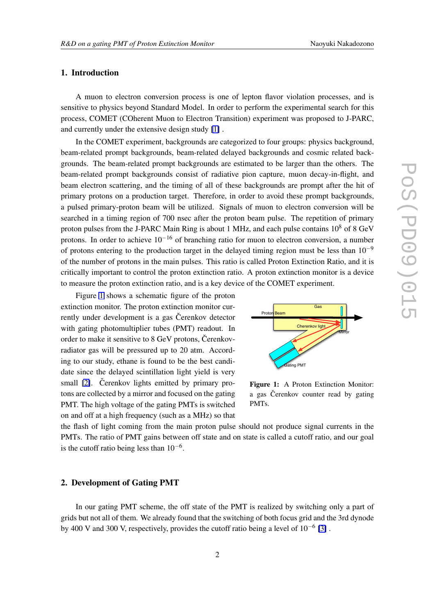# 1. Introduction

A muon to electron conversion process is one of lepton flavor violation processes, and is sensitive to physics beyond Standard Model. In order to perform the experimental search for this process, COMET (COherent Muon to Electron Transition) experiment was proposed to J-PARC, and currently under the extensive design study [\[1\]](#page-2-0) .

In the COMET experiment, backgrounds are categorized to four groups: physics background, beam-related prompt backgrounds, beam-related delayed backgrounds and cosmic related backgrounds. The beam-related prompt backgrounds are estimated to be larger than the others. The beam-related prompt backgrounds consist of radiative pion capture, muon decay-in-flight, and beam electron scattering, and the timing of all of these backgrounds are prompt after the hit of primary protons on a production target. Therefore, in order to avoid these prompt backgrounds, a pulsed primary-proton beam will be utilized. Signals of muon to electron conversion will be searched in a timing region of 700 nsec after the proton beam pulse. The repetition of primary proton pulses from the J-PARC Main Ring is about 1 MHz, and each pulse contains  $10^8$  of 8 GeV protons. In order to achieve 10*−*<sup>16</sup> of branching ratio for muon to electron conversion, a number of protons entering to the production target in the delayed timing region must be less than 10*−*<sup>9</sup> of the number of protons in the main pulses. This ratio is called Proton Extinction Ratio, and it is critically important to control the proton extinction ratio. A proton extinction monitor is a device to measure the proton extinction ratio, and is a key device of the COMET experiment.

Figure 1 shows a schematic figure of the proton extinction monitor. The proton extinction monitor currently under development is a gas Čerenkov detector with gating photomultiplier tubes (PMT) readout. In order to make it sensitive to 8 GeV protons, Čerenkovradiator gas will be pressured up to 20 atm. According to our study, ethane is found to be the best candidate since the delayed scintillation light yield is very small  $[2]$ . Čerenkov lights emitted by primary protons are collected by a mirror and focused on the gating PMT. The high voltage of the gating PMTs is switched on and off at a high frequency (such as a MHz) so that



Figure 1: A Proton Extinction Monitor: a gas Čerenkov counter read by gating PMTs.

the flash of light coming from the main proton pulse should not produce signal currents in the PMTs. The ratio of PMT gains between off state and on state is called a cutoff ratio, and our goal is the cutoff ratio being less than 10*−*<sup>6</sup> .

## 2. Development of Gating PMT

In our gating PMT scheme, the off state of the PMT is realized by switching only a part of grids but not all of them. We already found that the switching of both focus grid and the 3rd dynode by 400 V and 300 V, respectively, provides the cutoff ratio being a level of 10*−*<sup>6</sup> [\[3\]](#page-2-0) .